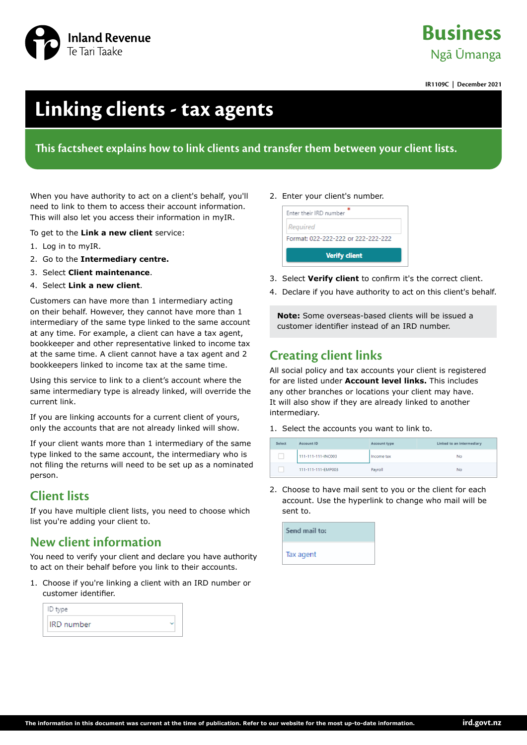

# **Business** Ngā Ūmanga

**IR1109C | December 2021**

# **Linking clients - tax agents**

#### **This factsheet explains how to link clients and transfer them between your client lists.**

When you have authority to act on a client's behalf, you'll need to link to them to access their account information. This will also let you access their information in myIR.

To get to the **Link a new client** service:

- 1. Log in to myIR.
- 2. Go to the **Intermediary centre.**
- 3. Select **Client maintenance**.
- 4. Select **Link a new client**.

Customers can have more than 1 intermediary acting on their behalf. However, they cannot have more than 1 intermediary of the same type linked to the same account at any time. For example, a client can have a tax agent, bookkeeper and other representative linked to income tax at the same time. A client cannot have a tax agent and 2 bookkeepers linked to income tax at the same time.

Using this service to link to a client's account where the same intermediary type is already linked, will override the current link.

If you are linking accounts for a current client of yours, only the accounts that are not already linked will show.

If your client wants more than 1 intermediary of the same type linked to the same account, the intermediary who is not filing the returns will need to be set up as a nominated person.

### **Client lists**

If you have multiple client lists, you need to choose which list you're adding your client to.

### **New client information**

You need to verify your client and declare you have authority to act on their behalf before you link to their accounts.

1. Choose if you're linking a client with an IRD number or customer identifier.

| ID type    |  |
|------------|--|
| IRD number |  |

#### 2. Enter your client's number.



- 3. Select **Verify client** to confirm it's the correct client.
- 4. Declare if you have authority to act on this client's behalf.

**Note:** Some overseas-based clients will be issued a customer identifier instead of an IRD number.

## **Creating client links**

All social policy and tax accounts your client is registered for are listed under **Account level links.** This includes any other branches or locations your client may have. It will also show if they are already linked to another intermediary.

1. Select the accounts you want to link to.

| Select | Account ID         | Account type | Linked to an intermediary |
|--------|--------------------|--------------|---------------------------|
|        | 111-111-111-INC003 | Income tax   | <b>No</b>                 |
|        | 111-111-111-EMP003 | Payroll      | <b>No</b>                 |

2. Choose to have mail sent to you or the client for each account. Use the hyperlink to change who mail will be sent to.

| Send mail to: |  |
|---------------|--|
| Tax agent     |  |